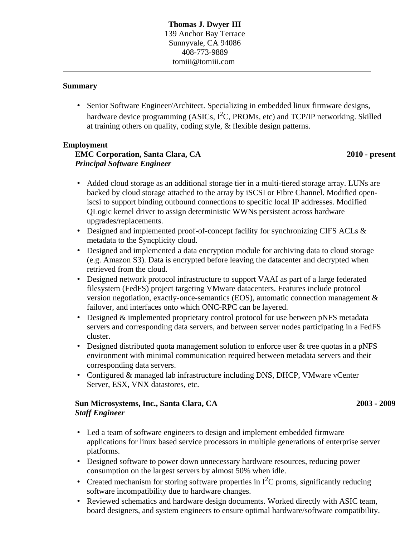#### **Summary**

• Senior Software Engineer/Architect. Specializing in embedded linux firmware designs, hardware device programming (ASICs,  $I^2C$ , PROMs, etc) and TCP/IP networking. Skilled at training others on quality, coding style, & flexible design patterns.

#### **Employment**

# *Principal Software Engineer* **EMC Corporation, Santa Clara, CA**

#### **2010 - present**

- Added cloud storage as an additional storage tier in a multi-tiered storage array. LUNs are backed by cloud storage attached to the array by iSCSI or Fibre Channel. Modified openiscsi to support binding outbound connections to specific local IP addresses. Modified QLogic kernel driver to assign deterministic WWNs persistent across hardware upgrades/replacements.
- Designed and implemented proof-of-concept facility for synchronizing CIFS ACLs & metadata to the Syncplicity cloud.
- Designed and implemented a data encryption module for archiving data to cloud storage (e.g. Amazon S3). Data is encrypted before leaving the datacenter and decrypted when retrieved from the cloud.
- Designed network protocol infrastructure to support VAAI as part of a large federated filesystem (FedFS) project targeting VMware datacenters. Features include protocol version negotiation, exactly-once-semantics (EOS), automatic connection management & failover, and interfaces onto which ONC-RPC can be layered.
- Designed & implemented proprietary control protocol for use between pNFS metadata servers and corresponding data servers, and between server nodes participating in a FedFS cluster.
- Designed distributed quota management solution to enforce user & tree quotas in a pNFS environment with minimal communication required between metadata servers and their corresponding data servers.
- Configured & managed lab infrastructure including DNS, DHCP, VMware vCenter Server, ESX, VNX datastores, etc.

#### *Staff Engineer* **Sun Microsystems, Inc., Santa Clara, CA**

**2003 - 2009**

- Led a team of software engineers to design and implement embedded firmware applications for linux based service processors in multiple generations of enterprise server platforms.
- Designed software to power down unnecessary hardware resources, reducing power consumption on the largest servers by almost 50% when idle.
- Created mechanism for storing software properties in  $I^2C$  proms, significantly reducing software incompatibility due to hardware changes.
- Reviewed schematics and hardware design documents. Worked directly with ASIC team, board designers, and system engineers to ensure optimal hardware/software compatibility.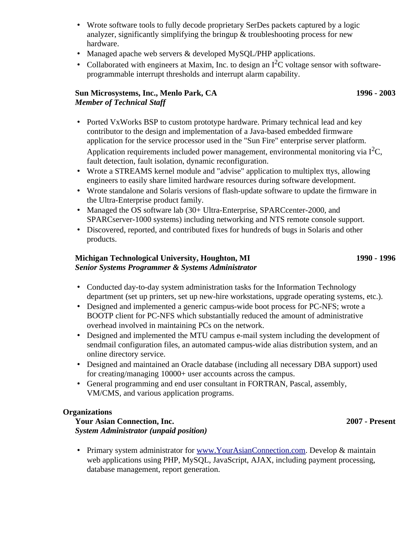- Wrote software tools to fully decode proprietary SerDes packets captured by a logic analyzer, significantly simplifying the bringup & troubleshooting process for new hardware.
- Managed apache web servers & developed MySQL/PHP applications.
- Collaborated with engineers at Maxim, Inc. to design an  $I<sup>2</sup>C$  voltage sensor with softwareprogrammable interrupt thresholds and interrupt alarm capability.

# *Member of Technical Staff* **Sun Microsystems, Inc., Menlo Park, CA**

• Ported VxWorks BSP to custom prototype hardware. Primary technical lead and key contributor to the design and implementation of a Java-based embedded firmware application for the service processor used in the "Sun Fire" enterprise server platform. Application requirements included power management, environmental monitoring via  $I^2C$ , fault detection, fault isolation, dynamic reconfiguration.

- Wrote a STREAMS kernel module and "advise" application to multiplex ttys, allowing engineers to easily share limited hardware resources during software development.
- Wrote standalone and Solaris versions of flash-update software to update the firmware in the Ultra-Enterprise product family.
- Managed the OS software lab (30+ Ultra-Enterprise, SPARCcenter-2000, and SPARCserver-1000 systems) including networking and NTS remote console support.
- Discovered, reported, and contributed fixes for hundreds of bugs in Solaris and other products.

## *Senior Systems Programmer & Systems Administrator* **Michigan Technological University, Houghton, MI**

**1990 - 1996**

- Conducted day-to-day system administration tasks for the Information Technology department (set up printers, set up new-hire workstations, upgrade operating systems, etc.).
- Designed and implemented a generic campus-wide boot process for PC-NFS; wrote a BOOTP client for PC-NFS which substantially reduced the amount of administrative overhead involved in maintaining PCs on the network.
- Designed and implemented the MTU campus e-mail system including the development of sendmail configuration files, an automated campus-wide alias distribution system, and an online directory service.
- Designed and maintained an Oracle database (including all necessary DBA support) used for creating/managing 10000+ user accounts across the campus.
- General programming and end user consultant in FORTRAN, Pascal, assembly, VM/CMS, and various application programs.

## **Organizations**

*System Administrator (unpaid position)* **Your Asian Connection, Inc.**

• Primary system administrator for [www.YourAsianConnection.com.](http://www.yourasianconnection.com/) Develop & maintain web applications using PHP, MySQL, JavaScript, AJAX, including payment processing, database management, report generation.

**2007 - Present**

**1996 - 2003**